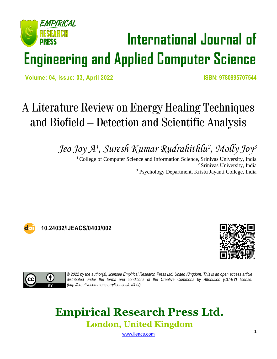# EMPIRICAI **International Journal of Engineering and Applied Computer Science**

 **Volume: 04, Issue: 03, April 2022 ISBN: 9780995707544**

# A Literature Review on Energy Healing Techniques and Biofield – Detection and Scientific Analysis

*Jeo Joy A<sup>1</sup> , Suresh Kumar Rudrahithlu<sup>2</sup> , Molly Joy<sup>3</sup>*

<sup>1</sup> College of Computer Science and Information Science, Srinivas University, India <sup>2</sup> Srinivas University, India <sup>3</sup> Psychology Department, Kristu Jayanti College, India



**10.24032/IJEACS/0403/002**





*© 2022 by the author(s); licensee Empirical Research Press Ltd. United Kingdom. This is an open access article distributed under the terms and conditions of the Creative Commons by Attribution (CC-BY) license. [\(http://creativecommons.org/licenses/by/4.0/\)](http://creativecommons.org/licenses/by/4.0/).*

# **Empirical Research Press Ltd. London, United Kingdom**

[www.ijeacs.com](http://ijeacs.com/)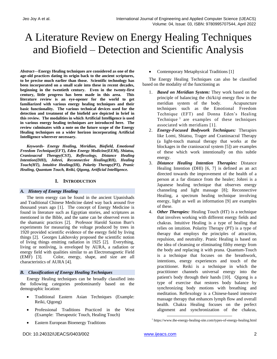# A Literature Review on Energy Healing Techniques and Biofield – Detection and Scientific Analysis

*Abstract***—Energy Healing techniques are considered as one of the age-old practices dating its origin back to the ancient scriptures, to be precise much earlier than those. Scientific technology has been incorporated on a small scale into these in recent decades, beginning in the twentieth century. Even in the twenty-first century, little progress has been made in this area. This literature review is an eye-opener for the world to get familiarized with various energy healing techniques and their basic functionality. The various technical devices used for the detection and treatment of the biofield are depicted in brief in this review. The modalities in which Artificial Intelligence is used in various energy healing techniques are introduced here. The review culminates with a note on the future scope of the Energy Healing techniques on a wider horizon incorporating Artificial Intelligence wherever necessary.**

*Keywords- Energy Healing, Meridian, Biofield, Emotional Freedom Technique(EFT), Eden Energy Medicine(EEM), Shiatsu, Craniosacral Therapy(CST), Reflexology, Distance Healing Intention(DHI), Johrei, Reconnective Healing(RH), Healing Touch(HT), Intuitive Healing(IH), Polarity Therapy(PT), Pranic Healing, Quantum Touch, Reiki, Qigong, Artificial Intelligence.*

# **I. INTRODUCTION**

# *A. History of Energy Healing*

The term energy can be found in the ancient Upanishads and Traditional Chinese Medicine dated way back around five thousand years ago [1]. The concept of Energy Medicine is found in literature such as Egyptian stories, and scriptures as mentioned in the Bible, and the same can be observed even in the shamanic practices [2]. Professor Harold Saxton Burr's experiments for measuring the voltage produced by trees in 1920 provided scientific evidence of the energy field by living things [2]. Georges Lakhovsky proposed the scientific notion of living things emitting radiation in 1925 [2]. Everything, living or nonliving, is enveloped by AURA, a radiation or energy field with qualities similar to an Electromagnetic Field (EMF) [3]. Color, energy, shape, and size are all characteristics of AURA [4].

# *B. Classification of Energy Healing Techniques*

Energy Healing techniques can be broadly classified into the following categories predominantly based on the demographic location:

- Traditional Eastern Asian Techniques (Example: Reiki, Qigong)
- Professional Traditions Practiced in the West (Example: Therapeutic Touch, Healing Touch)
- Eastern European Bioenergy Traditions

• Contemporary Metaphysical Traditions [1]

The Energy Healing Techniques can also be classified based on the modality of the functioning as

- 1. *Based on Meridian System:* They work based on the principle of balancing the chi/ki/qi energy flow in the meridian system of the body. Acupuncture techniques such as the Emotional Freedom Technique (EFT) and Donna Eden's Healing Technique 1 are examples of these techniques associated with meridians [1].
- 2. *Energy-Focused Bodywork Techniques:* Therapies like Lomi, Shiatsu, Trager and Craniosacral Therapy (a light-touch manual therapy that works at the blockages in the craniosacral system [5]) are examples of these which work intentionally on this subtle energy.
- 3. *Distance Healing Intention Therapies:* Distance Healing Intention (DHI) [6, 7] is defined as an act directed towards the improvement of the health of a person at a far distance from the healer; Johrei is a Japanese healing technique that observes energy channeling and light massage [8]; Reconnective Healing, a spectrum healing technique involving energy, light as well as information [9] are examples of these.
- 4. *Other Therapies:* Healing Touch (HT) is a technique that involves working with different energy fields and chakras. Intuitive Healing is a type of healing that relies on intuition. Polarity Therapy (PT) is a type of therapy that employs the principles of attraction, repulsion, and neutrality. Pranic Healing is based on the idea of cleansing or eliminating filthy energy from the body and replacing it with prana. Quantum-Touch is a technique that focuses on the breathwork, intentions, energy experiences and touch of the practitioner. Reiki is a technique in which the practitioner channels universal energy into the patient's body through their hands [10]. Qigong is a type of exercise that restores body balance by synchronizing body motions with breathing and meditation. Reflexology is a Chinese-based intensive massage therapy that enhances lymph flow and overall health. Chakra Healing focuses on the perfect alignment and synchronization of the chakras,

<sup>1</sup> https://www.the-energy-healing-site.com/types-of-energy-healing.html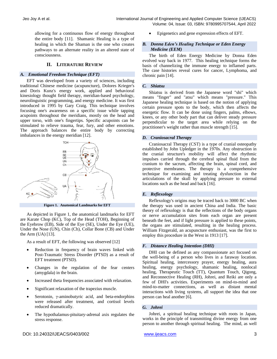allowing for a continuous flow of energy throughout the entire body [11]. Shamanic Healing is a type of healing in which the Shaman is the one who creates pathways to an alternate reality in an altered state of consciousness.

# **II. LITERATURE REVIEW**

# *A. Emotional Freedom Technique (EFT)*

EFT was developed from a variety of sciences, including traditional Chinese medicine (acupuncture), Dolores Krieger's and Doris Kunz's energy work, applied and behavioral kinesiology thought field therapy, meridian-based psychology, neurolinguistic programming, and energy medicine. It was first introduced in 1995 by Gary Craig. This technique involves focusing one's awareness on a specific issue while tapping acupoints throughout the meridians, mostly on the head and upper torso, with one's fingertips. Specific acupoints can be stimulated to relieve trauma, fear, fury, and other emotions. The approach balances the entire body by correcting imbalances in the energy meridian [12].



As depicted in Figure 1, the anatomical landmarks for EFT are Karate Chop (KC), Top of the Head (TOH), Beginning of the Eyebrow (EB), Side of the Eye (SE), Under the Eye (UE), Under the Nose (UN), Chin (Ch), Collar Bone (CB) and Under the Arm  $(UA)$  [13].

As a result of EFT, the following was observed [12]

- Reduction in frequency of brain waves linked with Post-Traumatic Stress Disorder (PTSD) as a result of EFT treatment (PTSD).
- Changes in the regulation of the fear centers (amygdala) in the brain.
- Increased theta frequencies associated with relaxation.
- Significant relaxation of the trapezius muscle.
- Serotonin, γ-aminobutyric acid, and beta-endorphins were released after treatment, and cortisol levels reduced dramatically.
- The hypothalamus-pituitary-adrenal axis regulates the stress response.

• Epigenetics and gene expression effects of EFT.

# *B. Donna Eden's Healing Technique or Eden Energy Medicine (EEM)*

The birth of Eden Energy Medicine by Donna Eden evolved way back in 1977. This healing technique forms the basis of channelizing the immune energy to inflamed parts. The case histories reveal cures for cancer, Lymphoma, and chronic pain [14].

#### *C. Shiatsu*

Shiatsu is derived from the Japanese word "shi" which means "finger" and "atsu" which means "pressure." This Japanese healing technique is based on the notion of applying certain pressure spots to the body, which then affects the energetic flow. It can be done using fingers, palms, elbows, knees, or any other body part that can deliver steady pressure perpendicular to the target area while relying on the practitioner's weight rather than muscle strength [15].

# *D. Craniosacral Therapy*

Craniosacral Therapy (CST) is a type of cranial osteopathy established by John Upledger in the 1970s. Any obstruction in the cranial structure's mobility will affect the rhythmic impulses carried through the cerebral spinal fluid from the cranium to the sacrum, affecting the brain, spinal cord, and protective membranes. The therapy is a comprehensive technique for examining and treating dysfunction in the articulations of the skull by applying pressure to external locations such as the head and back [16].

# *E. Reflexology*

Reflexology's origins may be traced back to 3000 BC when the therapy was used in ancient China and India. The basic theory of reflexology is that the reflections of the body organs or nerve accumulation sites from each organ are present beneath the feet, and if light pressure is applied to these points, the organs are stimulated, resulting in the healing process. William Fitzgerald, an acupuncture enthusiast, was the first to employ this procedure in the West in 1913 [17].

# *F. Distance Healing Intention (DHI)*

DHI can be defined as any compassionate act focused on the well-being of a person who lives in a faraway location. Spiritual healing, intercessory prayer, energy healing, aura healing, energy psychology, shamanic healing, nonlocal healing, Therapeutic Touch (TT), Quantum Touch, Qigong, and Reconnective Healing (RH), Johrei, and Reiki are only a few of DHI's activities. Experiments on mind-to-mind and mind-to-matter connections, as well as distant mental interactions with living systems, all support the idea that one person can heal another [6].

# *G. Johrei*

Johrei, a spiritual healing technique with roots in Japan, works in the principle of transmitting divine energy from one person to another through spiritual healing. The mind, as well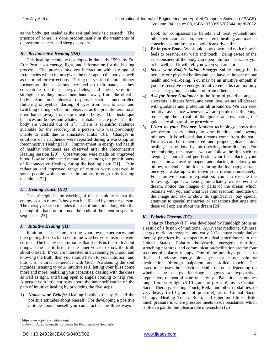as the body, get healed as the spiritual body is cleansed<sup>2</sup>. The practice of Johrei is done predominantly in the treatments of depression, cancer, and sleep disorders.

# *H. Reconnective Healing (RH)*

This healing technique developed in the early 1990s by Dr. Eric Pearl uses energy, light, and information for the healing process. The process involves interaction with a range of frequencies which in turn gives the message to the body as well as the mind for corrections. During the session the practitioner focuses on the sensations they feel on their hands as they concentrate on their energy fields, and these sensations strengthen as they move their hands away from the client's body. Sometimes physical responses such as uncontrolled fluttering of eyelids, darting of eyes from side to side, and twitching of fingers/feet are observed as the practitioners move their hands away from the client's body. This technique balances our bodies and whatever imbalances are present in the body are vibrated out of it<sup>3</sup>. There is scientific evidence available for the recovery of a person who was previously unable to walk due to emaciated limbs [18]. Changes in emotions of an audience were reported during a workshop on Reconnective Healing [19]. Improvement in energy and health of healthy volunteers are observed after the Reconnective Healing session [20]. Observations were made on improved blood flow and enhanced mental focus among the practitioners of Reconnective Healing during the healing state [21]. Pain reduction and improved range of motion were observed in some people with shoulder limitations through this healing technique [22].

# *I. Healing Touch (HT)*

The principle in the working of this technique is that the energy system of one's body can be affected by another person. The therapy session includes the use of intention along with the placing of a hand on or above the body of the client in specific sequences [23].

# *J. Intuitive Healing (IH)*

Intuition is based on trusting your own experiences and then getting feedback to determine whether your instincts were correct. The beauty of intuition is that it tells us the truth about things. One has to listen to the inner voice to know the truth about oneself. If you are interested in awakening your soul and knowing the truth, then you should listen to your intuition, and thus it is in direct coherence with God. Awakening the soul includes listening to your intuitive self, letting your bliss come more and more, realizing your capacities, dealing with darkness as well as light, and being open to angels coming to help you. A person with little curiosity about the inner self can be on the path of intuitive healing by practicing the five steps:

1) *Notice your Beliefs:* Healing involves the spirit and the positive attitudes about oneself. For developing a positive attitude about oneself you can practice the three ways -

Look for compassionate beliefs and treat yourself and others with compassion, love-centered healing, and make a conscious commitment to avoid fear-driven life.

- 2) *Be in your Body:* We should slow down and notice how it feels to breathe, eat, walk and touch. Being aware of the sensuousness of the body can open intuition. It wants you to be well, and it will tell you when you are not.
- 3) *Sense your Body's Subtle Energy:* Subtle energy fields pervade our physical bodies and can have an impact on our health and well-being. You may be an intuitive empath if you are sensitive to energy. Intuitive empaths can not only sense energy but also take it on from others.
- 4) *Ask for Inner Guidance:* In the form of guardian angels, ancestors, a higher force, and even love, we are all blessed with guidance and protection all around us. We can seek intuitive assistance whenever we are perplexed. Relaxing, requesting the arrival of the guide, and evaluating the guides are all part of the procedure.
- 5) *Listen to your Dreams:* Modern technology shows that we dream every ninety to one hundred and twenty minutes. It is believed that dreams come from the soul. Dreams can be remembered and proper guidance and healing can be done by introspecting those dreams. For remembering the dreams, we can follow the tips such as keeping a journal and pen beside your bed, placing your request on a piece of paper, and placing it below your pillow, remember the dream during the hypnagogic state, once you wake up write down your dream immediately. For intuitive dream interpretation, you can execute the following: upon awakening immediately write down the dream, notice the images or parts of the dream which resonate with you and what was your reaction, meditate on the image and ask to show its significance, pay special attention to special memories or sensations that arise and these will explain about the dream [24].

# *K. Polarity Therapy (PT)*

Polarity Therapy (PT) was developed by Randolph Stone as a result of a fusion of traditional Ayurvedic medicine, Chinese energy meridian therapies, and early  $20<sup>th</sup>$ -century manipulative therapy practices by osteopathic medical practitioners in the United States. Polarity bodywork, energetic nutrition, stretching postures, and communication/facilitation are the four sections of polarity therapy. One of the polarity's goals is to find and release energy blockages that cause pain or dysfunction (through palpation and skilled touch). The practitioner uses three distinct depths of touch depending on whether the energy blockage suggests a hyperactive, hypoactive, or neutral state of activity. Palpation techniques range from very light (5-10 grams of pressure), as in Cranial– Sacral Therapy, Healing Touch, Reiki, and other modalities, to very heavy (5-10 grams of pressure), as in Cranial–Sacral Therapy, Healing Touch, Reiki, and other modalities. Mild touch pressure is where pressure meets tissue resistance, which is often a painful but pleasurable intersection [25].

<sup>2</sup> https://www.johrei-institute.org/

<sup>&</sup>lt;sup>3</sup> Baldwin, A. L. Scientific Evidence for Reconnective Healing®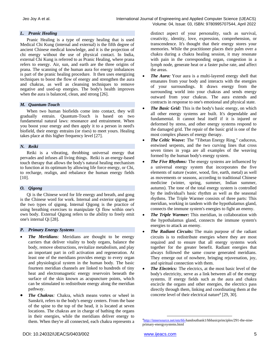# *L. Pranic Healing*

Pranic Healing is a type of energy healing that is used Medical Chi Kung (internal and external) is the fifth degree of ancient Chinese medical knowledge, and it is the projection of chi energy without the use of physical contact. In India, external Chi Kung is referred to as Pranic Healing, where prana refers to energy. Air, sun, and earth are the three origins of prana. The scanning of the human aura for energy imbalances is part of the pranic healing procedure. It then uses energizing techniques to boost the flow of energy and strengthen the aura and chakras, as well as cleansing techniques to remove negative and used-up energies. The body's health improves when the aura is balanced, clean, and strong [26].

# *M. Quantum-Touch*

When two human biofields come into contact, they will gradually entrain. Quantum-Touch is based on two fundamental natural laws: resonance and entrainment. When you boost your energy and then apply it to a person in need's biofield, their energy entrains (or rises) to meet yours. Healing takes place at this higher frequency level [27].

# *N. Reiki*

Reiki is a vibrating, throbbing universal energy that pervades and infuses all living things. Reiki is an energy-based touch therapy that allows the body's natural healing mechanism to function at its optimum by allowing life force energy, or Chi, to recharge, realign, and rebalance the human energy fields  $[10]$ .

# *O. Qigong*

Qi is the Chinese word for life energy and breath, and gong is the Chinese word for work. Internal and exterior qigong are the two types of qigong. Internal Qigong is the practice of using breathing exercises to manipulate Qi flow within one's own body. External Qigong refers to the ability to freely emit one's internal Qi [28].

# *P. Primary Energy Systems*

- *The Meridians:* Meridians are thought to be energy carriers that deliver vitality to body organs, balance the body, remove obstructions, revitalize metabolism, and play an important part in cell activation and regeneration. At least one of the meridians provides energy to every organ and physiological system in the human body. The basic fourteen meridian channels are linked to hundreds of tiny heat and electromagnetic energy reservoirs beneath the surface of the skin known as acupuncture points, which can be stimulated to redistribute energy along the meridian pathway.
- *The Chakras:* Chakra, which means vortex or wheel in Sanskrit, refers to the body's energy centers. From the base of the spine to the top of the head, it is located at seven locations. The chakras are in charge of bathing the organs in their energies, while the meridians deliver energy to them. When they're all connected, each chakra represents a

distinct aspect of your personality, such as survival, creativity, identity, love, expression, comprehension, or transcendence. It's thought that their energy stores your memories. While the practitioner places their palm over a chakra during a chakra healing session, it may resonate with pain in the corresponding organ, congestion in a lymph node, generate heat or a faster pulse rate, and affect the areas.

- *The Aura:* Your aura is a multi-layered energy shell that emanates from your body and interacts with the energies of your surroundings. It draws energy from the surrounding world into your chakras and sends energy outward from your chakras. The aura extends and contracts in response to one's emotional and physical state.
- *The Basic Grid:* This is the body's basic energy, on which all other energy systems are built. It's dependable and fundamental. It cannot heal itself if it is injured or deformed by stress, and other energy systems respond to the damaged grid. The repair of the basic grid is one of the most complex phases of energy therapy.
- *The Celtic Weave:* The "Tibetan Energy Ring," caduceus, entwined serpents, and the two curving lines that cross seven times in yoga are all examples of the weaving formed by the human body's energy system.
- *The Five Rhythms:* The energy systems are influenced by a universal energy system that incorporates the five elements of nature (water, wood, fire, earth, metal) as well as movements or seasons, according to traditional Chinese medicine (winter, spring, summer, Indian summer, autumn). The tone of the total energy system is controlled by the individual's basic rhythm as well as the seasonal rhythms. The Triple Warmer consists of three parts: This meridian, working in tandem with the hypothalamus gland, connects the immune system's energies to fight an enemy.
- *The Triple Warmer:* This meridian, in collaboration with the hypothalamus gland, connects the immune system's energies to attack an enemy.
- *The Radiant Circuits:* The main purpose of the radiant circuits is to redistribute energies where they are most required and to ensure that all energy systems work together for the greater benefit. Radiant energies that always followed the same course generated meridians. They emerge out of nowhere, bringing rejuvenation, joy, and spiritual connection with them.
- *The Electrics:* The electrics, at the most basic level of the body's electricity, serve as a link between all of the energy systems. If energy fields such as the aura and chakra encircle the organs and other energies, the electrics pass directly through them, linking and coordinating them at the concrete level of their electrical nature<sup>4</sup> [29, 30].

<sup>&</sup>lt;sup>4</sup>[http://innersource.net/em/66-h](http://innersource.net/em/66-)andoutbank1/hbbasicprinciples/291-the-nineprimary-energysystems.html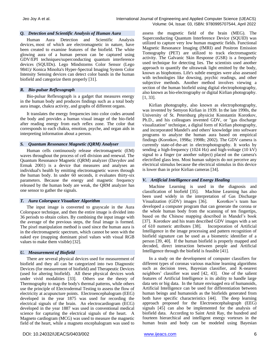#### *Q. Detection and Scientific Analysis of Human Aura*

Human Aura Detection and Scientific Analysis devices, most of which are electromagnetic in nature, have been created to examine features of the biofield. The white glowing aura of a human person can be captured using GDV/EPI techniques/superconducting quantum interference devices (SQUIDs). Lego Mindstorms Color Sensor (Lego 9841)/ Konica Minolta's Hyper-Spectral Imaging System Color Intensity Sensing devices can detect color bands in the human biofield and categorize them properly [31].

#### *R. Bio-pulsar Reflexograph*

Bio-pulsar Reflexograph is a gadget that measures energy in the human body and produces findings such as a total body aura image, chakra activity, and graphs of different organs.

It translates the energy frequencies into color codes around the body and provides a human visual image of the bio-field after reading energy from each reflex zone. The color that corresponds to each chakra, emotion, psyche, and organ aids in interpreting information about a person.

#### *S. Quantum Resonance Magnetic (QRM) Analyser*

Human cells continuously release electromagnetic (EM) waves throughout the process of cell division and renewal. The Quantum Resonance Magnetic (QRM) analyzer (Davydov and Ermak 2001) is a device that measures and analyses an individual's health by emitting electromagnetic waves through the human body. In under 60 seconds, it evaluates thirty-six parameters. Because the energy and magnetic frequency released by the human body are weak, the QRM analyzer has one sensor to gather the signals.

# *T. Aura Colorspace Visualizer Algorithm*

The input image is converted to grayscale in the Aura Colorspace technique, and then the entire image is divided into 36 periods to obtain colors. By combining the input image with the average of the previous steps, the final image is formed. The pixel manipulation method is used since the human aura is in the electromagnetic spectrum, which cannot be seen with the naked eye (mapping dominant pixel values with visual RGB values to make them visible) [32].

# *U. Measurement of Biofield*

There are several physical devices used for measurement of biofield and they all can be categorized into two Diagnostic Devices (for measurement of biofield) and Therapeutic Devices (used for altering biofield). All these physical devices work under vivid modalities [33]. Others use the theory of Thermography to map the body's thermal patterns, while others use the principle of Electrodermal Testing to assess the flow of electricity at acupuncture points. Electroencephalogram (EEG) developed in the year 1875 was used for recording the electrical signals of the brain. An electrocardiogram (ECG) developed in the year 1887 was used in conventional medical science for capturing the electrical signals of the heart. A Magneto cardiogram (MCG) was used to measure the magnetic field of the heart, while a magneto encephalogram was used to

assess the magnetic field of the brain (MEG). The Superconducting Quantum Interference Device (SQUID) was utilized to capture very low human magnetic fields. Functional Magnetic Resonance Imaging (fMRI) and Positron Emission Tomography (PET) are utilized to track electromagnetic activity. The Galvanic Skin Response (GSR) is a frequently used technique for detecting lies. The scientists used another approach to quantify the ultraweak light emitted by the body, known as biophotons. Life's subtle energies were also assessed with technologies like dowsing, psychic readings, and other subjective methods. Another method involves viewing a section of the human biofield using digital electrophotography, also known as bio-electrography or digital Kirlian photography. [1, 33].

Kirlian photography, also known as electrophotography, was invented by Semyon Kirlian in 1939. In the late 1990s, the University of St. Petersburg physicist Konstantin Korotkov, Ph.D., and his colleagues invented GDV, or "gas discharge visualization" technique, a digital form of Kirlian photography, and incorporated Mandel's and others' knowledge into software programs to analyze the human aura based on empirical findings (Korotkov, 1998a; 1998b; 2002). The GDV camera is currently state-of-the-art in electrophotography. It works by sending a high-frequency (1024 Hz) and high-voltage (10 kV) signal to a finger (or another subject) placed on the camera's electrified glass lens. Most human subjects do not perceive any electrical stimulus because the electrical stimulus in this device is lower than in prior Kirlian cameras [34].

# *V. Artificial Intelligence and Energy Healing*

Machine Learning is used in the diagnosis and classification of biofield [35]. Machine Learning has also been used widely in the interpretation of Gas Discharge Visualization (GDV) images [36]. Korotkov's team has developed a computer program that can generate the corona or the whole human body from the scanning of ten fingertips, based on the Chinese mapping described in Mandel's book [37]. Korotkov and his team described GDV images with a set of 610 numeric attributes [38]. Incorporation of Artificial Intelligence in the image processing and pattern recognition of biofield signature can be used as a biometric identifier of a person [39, 40]. If the human biofield is properly mapped and decoded, direct interaction between people and Artificial Intelligence through the biofield is feasible [41].

In a study on the development of computer classifiers for different types of coronas various machine learning algorithms such as decision trees, Bayesian classifier, and K-nearest neighbors' classifier was used [42, 43]. One of the salient features of Artificial Intelligence is its ability to handle large data sets or big data. In the future envisaged era of humanoids, Artificial Intelligence can be used for differentiation between human beings and humanoids as the biofields generated from both have specific characteristics [44]. The deep learning approach proposed for the Electroencephalograph (EEG) signals [45] can also be implemented for the analysis of biofield data. According to Saint Amit Ray, the hundred and fourteen hierarchical and intelligent energy vortexes in the human brain and body can be modeled using Bayesian

DOI: 10.24032/IJEACS/0403/002 [www.ijeacs.com](http://ijeacs.com/) 6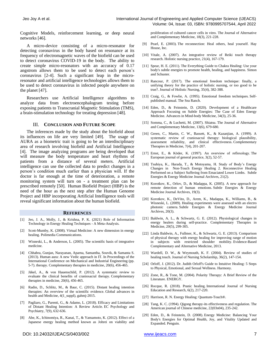Cognitive Models, reinforcement learning, or deep neural networks [46].

A micro-device consisting of a micro-resonator for detecting coronavirus in the body based on resonance at its frequency of electromagnetic waves of the biofield can be used to detect coronavirus COVID-19 in the body. The ability to create simple micro-resonators with an accuracy of 0.17 angstrom allows them to be used to detect each person's coronavirus [2-4]. Such a significant leap in the microresonator and artificial intelligence technologies allows them to be used to detect coronavirus in infected people anywhere on the planet [47].

Researchers use Artificial Intelligence algorithms to analyze data from electroencephalogram testing before exposing patients to Transcranial Magnetic Stimulation (TMS), a brain-stimulation technology for treating depression [48].

# III. **CONCLUSION AND FUTURE SCOPE**

The inferences made by the study about the biofield about its influences on life are very limited [49]. The usage of AURA as a biometric trait is going to be an interdisciplinary area of research involving biofield and Artificial Intelligence [4]. The image analyzing programs are being developed that will measure the body temperature and heart rhythms of patients from a distance of several meters. Artificial intelligence can use the collected data to predict changes in a person's condition much earlier than a physician will. If the doctor is far enough at the time of deterioration, a remote monitoring system will turn on - a treatment plan can be prescribed remotely [50]. Human Biofield Project (HBP) is the need of the hour as the next step after the Human Genome Project and HBP incorporating Artificial Intelligence tools will reveal significant information about the human biofield.

#### **REFERENCES**

- [1] Jeo, J. A., Molly, J., & Krishna, P. K. (2021) Role of Information Technology in Energy Healing Techniques - A Meta-Analysis.
- [2] Scott-Mumby, K. (2008). Virtual Medicine: A new dimension in energy healing. Polimedia Communications.
- [3] Wisneski, L., & Anderson, L. (2005). The scientific basis of integrative medicine.
- [4] Chhabra, Gunjan, Narayanan, Aparna, Samantha, Souvik, & Samanta S. (2013). Human aura: A new Vedic approach in IT. In Proceedings of the International Conference on Mechanical and Industrial Engineering (pp. 5-7). therapy. Complementary therapies in medicine, 20(6), 456-465.
- [5] Jäkel, A., & von Hauenschild, P. (2012). A systematic review to evaluate the clinical benefits of craniosacral therapy. Complementary therapies in medicine, 20(6), 456-465.
- [6] Radin, D., Schlitz, M., & Baur, C. (2015). Distant healing intention therapies: An overview of the scientific evidence. Global advances in health and Medicine, 4(1\_suppl), gahmj-2015.
- [7] Pagliaro, G., Parenti, G., & Adamo, L. (2018). Efficacy and Limitations of Distant Healing Intention: A Review Article. EC Psychology and Psychiatry, 7(9), 632-636.
- [8] Abe, K., Ichinomiya, R., Kanai, T., & Yamamoto, K. (2012). Effect of a Japanese energy healing method known as Johrei on viability and

proliferation of cultured cancer cells in vitro. The Journal of Alternative and Complementary Medicine, 18(3), 221-228.

- Pearl, E. (2003). The reconnection: Heal others, heal yourself. Hay House, Inc.
- [10] Vitale, A. (2007). An integrative review of Reiki touch therapy research. Holistic nursing practice, 21(4), 167-179.
- [11] Spear, H. E. (2011). The Everything Guide to Chakra Healing: Use your body's subtle energies to promote health, healing, and happiness. Simon and Schuster.
- [12] Rancour, P. (2017). The emotional freedom technique: finally, a unifying theory for the practice of holistic nursing, or too good to be true?. Journal of Holistic Nursing, 35(4), 382-388.
- [13] Craig, G., & Fowlie, A. (1995). Emotional freedom techniques. Selfpublished manual. The Sea Ranch.
- [14] Eden, D., & Feinstein, D. (2020). Development of a Healthcare Approach Focusing on Subtle Energies: The Case of Eden Energy Medicine. Advances in Mind-body Medicine, 34(3), 25-36.
- [15] Somma, C., & Luchetti, M. (2007). Shiatsu. The Journal of Alternative and Complementary Medicine, 13(6), 679-680.
- [16] Green, C., Martin, C. W., Bassett, K., & Kazanjian, A. (1999). A systematic review of craniosacral therapy: biological plausibility, assessment reliability, and clinical effectiveness. Complementary Therapies in Medicine, 7(4), 201-207.
- [17] Ernst, E., & Köder, K. (1997). An overview of reflexology. The European journal of general practice, 3(2), 52-57.
- [18] Tsuhiya, K., Harada, T., & Motoyama, H. Study of Body's Energy Changes in Non-Touch Energy Healing 2. Reconnective Healing Performed on a Subject Suffering from Emaciated Lower Limbs. Subtle Energies & Energy Medicine Journal Archives, 21(2).
- [19] Korotkov, K., Orlov, D., & Madappa, K. (2005). A new approach for remote detection of human emotions. Subtle Energies & Energy Medicine Journal Archives, 19(3).
- [20] Korotkov, K., DeVito, D., Arem, K., Madappa, K., Williams, B., & Wisneski, L. (2009). Healing experiments were assessed with an electro photonic camera. Subtle Energies & Energy Medicine Journal Archives, 20(3).
- [21] Baldwin, A. L., & Schwartz, G. E. (2012). Physiological changes in energy healers during self-practice. Complementary Therapies in Medicine, 20(5), 299-305.
- [22] Linda Baldwin, A., Fullmer, K., & Schwartz, G. E. (2013). Comparison of physical therapy with energy healing for improving range of motion in subjects with restricted shoulder mobility. Evidence-Based Complementary and Alternative Medicine, 2013.
- [23] Wardell, D. W., & Weymouth, K. F. (2004). Review of studies of healing touch. Journal of Nursing Scholarship, 36(2), 147-154.
- [24] Orloff, J. (2012). Dr. Judith Orloff's Guide to Intuitive Healing: 5 Steps to Physical, Emotional, and Sexual Wellness. Harmony.
- [25] Zone, R., & Tone, M. (2004). Polarity Therapy: A Brief Review of the Literature. ENERGY.
- [26] Rocque, R. (2018). Pranic healing. International Journal of Nursing Education and Research, 6(2), 217-220.
- [27] Harrison, R. N. Energy Healing: Quantum-Touch®.
- [28] Tang, K. C. (1994). Qigong therapy-its effectiveness and regulation. The American journal of Chinese medicine, 22(03n04), 235-242.
- [29] Eden, D., & Feinstein, D. (2008). Energy Medicine: Balancing Your Body's Energies for Optimal Health, Joy, and Vitality Updated and Expanded. Penguin.